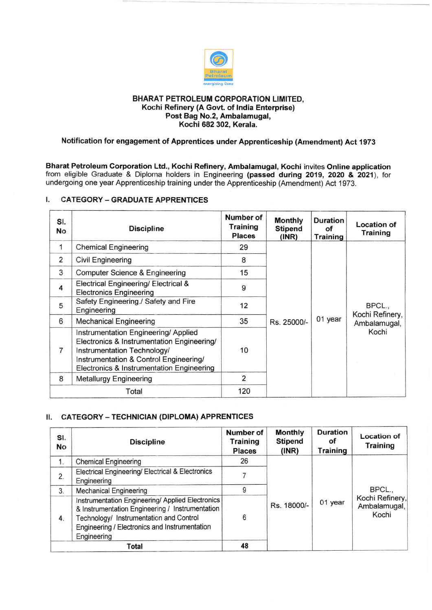

### BHARAT PETROLEUM CORPORATION LIMITED, Kochi Refinery (A Govt. of lndia Enterprise) Post Bag No.2, Ambalamugal, Kochi 682 302, Kerala.

# Notification for engagement of Apprentices under Apprenticeship (Amendment) Act 1973

Bharat Petroleum Corporation Ltd., Kochi Refinery, Ambalamugal, Kochi invites Online application from eligible Graduate & Diploma holders in Engineering (passed during 2019, 2O2O & 2021), for undergoing one year Apprenticeship training under the Apprenticeship (Amendment) Act 1973.

## I. CATEGORY - GRADUATE APPRENTICES

| SI.<br>No      | <b>Discipline</b>                                                                                                                                                                                       | Number of<br>Training<br><b>Places</b> | <b>Monthly</b><br><b>Stipend</b><br>(INR) | <b>Duration</b><br>οf<br><b>Training</b> | <b>Location of</b><br>Training                     |
|----------------|---------------------------------------------------------------------------------------------------------------------------------------------------------------------------------------------------------|----------------------------------------|-------------------------------------------|------------------------------------------|----------------------------------------------------|
| 1              | <b>Chemical Engineering</b>                                                                                                                                                                             | 29                                     | Rs. 25000/-                               |                                          | BPCL.,<br>Kochi Refinery,<br>Ambalamugal,<br>Kochi |
| 2              | Civil Engineering                                                                                                                                                                                       | 8                                      |                                           |                                          |                                                    |
| 3              | Computer Science & Engineering                                                                                                                                                                          | 15                                     |                                           |                                          |                                                    |
| 4              | Electrical Engineering/ Electrical &<br><b>Electronics Engineering</b>                                                                                                                                  | 9                                      |                                           |                                          |                                                    |
| 5              | Safety Engineering./ Safety and Fire<br>Engineering                                                                                                                                                     | 12                                     |                                           |                                          |                                                    |
| 6              | <b>Mechanical Engineering</b>                                                                                                                                                                           | 35                                     |                                           | 01 year                                  |                                                    |
| $\overline{7}$ | Instrumentation Engineering/Applied<br>Electronics & Instrumentation Engineering/<br>Instrumentation Technology/<br>Instrumentation & Control Engineering/<br>Electronics & Instrumentation Engineering | 10                                     |                                           |                                          |                                                    |
| 8              | <b>Metallurgy Engineering</b>                                                                                                                                                                           | 2                                      |                                           |                                          |                                                    |
| Total          |                                                                                                                                                                                                         | 120                                    |                                           |                                          |                                                    |

# **II. CATEGORY - TECHNICIAN (DIPLOMA) APPRENTICES**

| SI.<br>No | <b>Discipline</b>                                                                                                                                                                                              | Number of<br><b>Training</b><br><b>Places</b> | <b>Monthly</b><br><b>Stipend</b><br>(INR) | Duration<br>οf<br><b>Training</b> | <b>Location of</b><br>Training                     |
|-----------|----------------------------------------------------------------------------------------------------------------------------------------------------------------------------------------------------------------|-----------------------------------------------|-------------------------------------------|-----------------------------------|----------------------------------------------------|
| 1.        | <b>Chemical Engineering</b>                                                                                                                                                                                    | 26                                            | Rs. 18000/-                               |                                   | BPCL.,<br>Kochi Refinery,<br>Ambalamugal,<br>Kochi |
| 2.        | Electrical Engineering/ Electrical & Electronics<br>Engineering                                                                                                                                                |                                               |                                           |                                   |                                                    |
| 3.        | <b>Mechanical Engineering</b>                                                                                                                                                                                  | 9                                             |                                           |                                   |                                                    |
| 4.        | Instrumentation Engineering/ Applied Electronics<br>& Instrumentation Engineering / Instrumentation<br>Technology/ Instrumentation and Control<br>Engineering / Electronics and Instrumentation<br>Engineering | 6                                             |                                           | 01 year                           |                                                    |
|           | Total                                                                                                                                                                                                          | 48                                            |                                           |                                   |                                                    |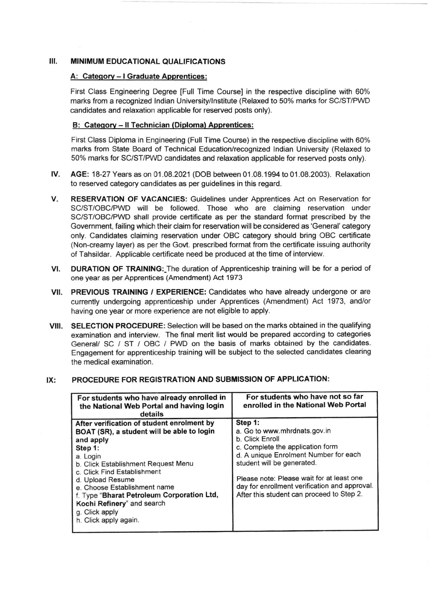#### Ш. MINIMUM EDUCATIONAL QUALIFICATIONS

## A: Category - I Graduate Apprentices:

First Class Engineering Degree [Full Time Course] in the respective discipline with 60% marks from a recognized lndian University/lnstitute (Relaxed to 50% marks for SC/ST/PWD candidates and relaxation applicable for reserved posts only).

### B: Category - Il Technician (Diploma) Apprentices:

First Class Diploma in Engineering (Full Time Course) in the respective discipline with 60% marks from State Board of Technical Education/recognized lndian University (Relaxed to 50% marks for SC/ST/PWD candidates and relaxation applicable for reserved posts only).

- tv. AGE: '18-27 Years as on 01 .08.2021 (DOB between 01 .08.1994 to 01 .08.2003). Relaxation to reserved category candidates as per guidelines in this regard.
- V. RESERVATION OF VACANCIES: Guidelines under Apprentices Act on Reservation for SC/ST/OBC/PWD will be followed. Those who are claiming reservation under SC/ST/OBC/PWD shall provide certificate as per the standard format prescribed by the Government, failing which their claim for reservation will be considered as 'General' category only. Candidates claiming reservation under OBC category should bring OBC certificate (Non-creamy layer) as per the Govt. prescribed format from the certificate issuing authority of Tahsildar. Applicable certificate need be produced at the time of interview.
- VI. DURATION OF TRAINING: The duration of Apprenticeship training will be for a period of one year as per Apprentices (Amendment) Act 1973
- VII. PREVIOUS TRAINING / EXPERIENCE: Candidates who have already undergone or are currently undergoing apprenticeship under Apprentices (Amendment) Act 1973, and/or having one year or more experience are not eligible to apply,
- VIII. SELECTION PROCEDURE: Selection will be based on the marks obtained in the qualifying examination and interview. The final merit list would be prepared according to categories General/ SC / ST / OBC / PWD on the basis of marks obtained by the candidates. Engagement for apprenticeship training will be subject to the selected candidates clearing the medical examination.

### For students who have already enrolled in the National Web Portal and having login details For students who have not so far enrolled in the National Web Portal After verification of student enrolment by BOAT (SR), a student will be able to login and apply Step 1: a. Login b. Click Establishment Request Menu c. Click Find Establishment d. Upload Resume e. Choose Establishment name f. Type "Bharat Petroleum Corporation Ltd, Kochi Refinery" and search g. Click apply h. Click apply again. Step 1: a. Go to www. mhrdnats.gov.in b. Click Enroll c. Complete the application form d. A unique Enrolment Number for each student will be generated. Please note: Please wait for at least one day for enrollment verification and approval. After this student can proceed to Step 2.

#### PROCEDURE FOR REGISTRATION AND SUBMISSION OF APPLICATION: IX: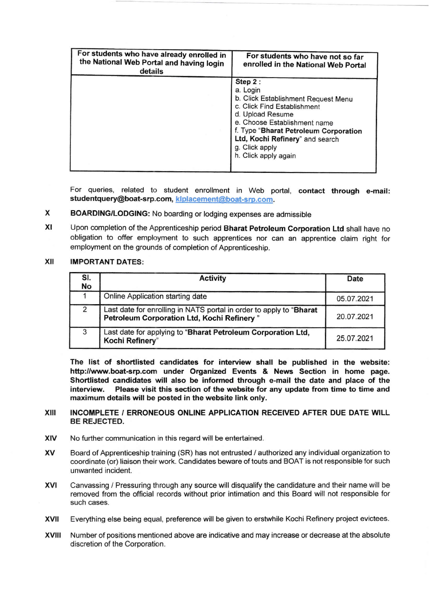| For students who have already enrolled in<br>the National Web Portal and having login<br>details | For students who have not so far<br>enrolled in the National Web Portal                                                                                                                                                                                             |
|--------------------------------------------------------------------------------------------------|---------------------------------------------------------------------------------------------------------------------------------------------------------------------------------------------------------------------------------------------------------------------|
|                                                                                                  | Step 2:<br>a. Login<br>b. Click Establishment Request Menu<br>c. Click Find Establishment<br>d. Upload Resume<br>e. Choose Establishment name<br>f. Type "Bharat Petroleum Corporation<br>Ltd, Kochi Refinery" and search<br>g. Click apply<br>h. Click apply again |

For queries, related to student enrollment in Web portal, contact through e-mail: studentquery@boat-srp.com, kiplacement@boat-srp.com.

#### x BOARDING/LODGING: No boarding or lodging expenses are admissible

xt Upon completion ofthe Apprenticeship period Bharat Petroleum Corporation Ltd shall have no obligation to offer employment to such apprentices nor can an apprentice claim right for employment on the grounds of completion of Apprenticeship.

#### XII **IMPORTANT DATES:**

| SI.<br>No | <b>Activity</b>                                                                                                   | Date       |
|-----------|-------------------------------------------------------------------------------------------------------------------|------------|
|           | Online Application starting date                                                                                  | 05.07.2021 |
|           | Last date for enrolling in NATS portal in order to apply to "Bharat<br>Petroleum Corporation Ltd, Kochi Refinery" | 20.07.2021 |
| 3         | Last date for applying to "Bharat Petroleum Corporation Ltd,<br>Kochi Refinery"                                   | 25.07.2021 |

The list of shortlisted candidates for interview shall be published in the website: http://www.boat-srp.com under Organized Events & News Section in home page. Shortlisted candidates will also be informed through e-mail the date and place of the interview. Please visit this section of the website for any update from time to time and maximum details will be posted in the website link only.

### INCOMPLETE / ERRONEOUS ONLINE APPLICATION RECEIVED AFTER DUE DATE wlLL BE REJECTED. xilt

- No further communication in this regard will be entertained. xlv
- Board of Apprenticeship training (SR) has not entrusted / authorized any individual organization to coordinate (or) liaison their work. Candidates beware of touts and BOAT is not responsible for such unwanted incident. xv
- Canvassing / Pressuring through any source will disqualify the candidature and their name will be removed from the official records without prior intimation and this Board will not responsible for such cases. xvı
- Everything else being equal, preference will be given to erstwhile Kochi Refinery project evictees. xvll
- Number of positions mentioned above are indicative and may increase or decrease at the absolute discretion of the Corporation. xv